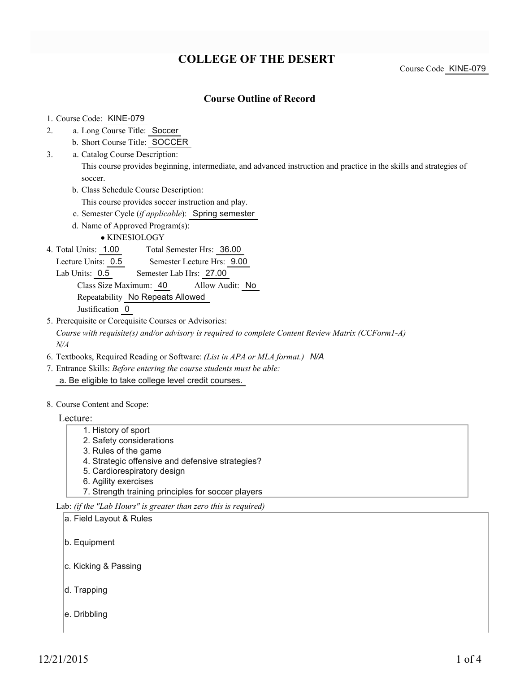# **COLLEGE OF THE DESERT**

### **Course Outline of Record**

#### 1. Course Code: KINE-079

- a. Long Course Title: Soccer 2.
	- b. Short Course Title: SOCCER
- Catalog Course Description: a. 3.

This course provides beginning, intermediate, and advanced instruction and practice in the skills and strategies of soccer.

- b. Class Schedule Course Description:
	- This course provides soccer instruction and play.
- c. Semester Cycle (*if applicable*): Spring semester
- d. Name of Approved Program(s):

KINESIOLOGY

Total Semester Hrs: 36.00 4. Total Units: 1.00

Lecture Units: 0.5 Semester Lecture Hrs: 9.00

Lab Units: 0.5 Semester Lab Hrs: 27.00

#### Class Size Maximum: 40 Allow Audit: No Repeatability No Repeats Allowed

Justification 0

5. Prerequisite or Corequisite Courses or Advisories:

*Course with requisite(s) and/or advisory is required to complete Content Review Matrix (CCForm1-A) N/A*

- 6. Textbooks, Required Reading or Software: *(List in APA or MLA format.) N/A*
- Entrance Skills: *Before entering the course students must be able:* 7. a. Be eligible to take college level credit courses.
- 8. Course Content and Scope:

Lecture:

- 1. History of sport
- 2. Safety considerations
- 3. Rules of the game
- 4. Strategic offensive and defensive strategies?
- 5. Cardiorespiratory design
- 6. Agility exercises
- 7. Strength training principles for soccer players

Lab: *(if the "Lab Hours" is greater than zero this is required)*

a. Field Layout & Rules

b. Equipment

- c. Kicking & Passing
- d. Trapping
- e. Dribbling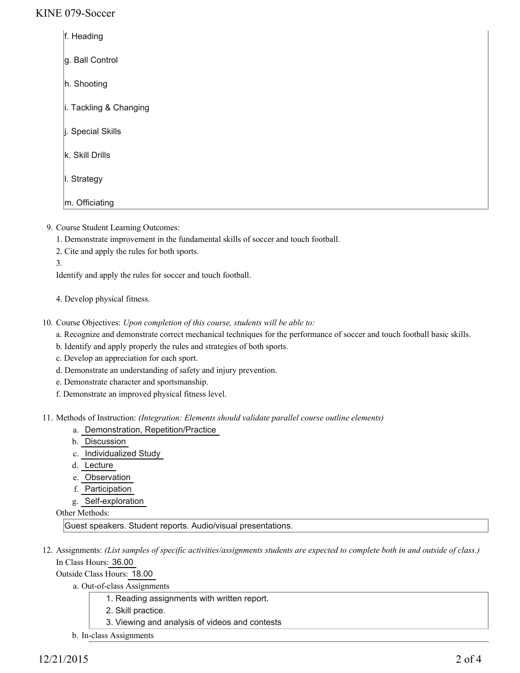### KINE 079-Soccer

| f. Heading             |
|------------------------|
| g. Ball Control        |
| h. Shooting            |
| i. Tackling & Changing |
| i. Special Skills      |
| k. Skill Drills        |
| I. Strategy            |
| m. Officiating         |

9. Course Student Learning Outcomes:

1. Demonstrate improvement in the fundamental skills of soccer and touch football.

- 2. Cite and apply the rules for both sports.
- 3.

Identify and apply the rules for soccer and touch football.

4. Develop physical fitness.

- 10. Course Objectives: Upon completion of this course, students will be able to:
	- a. Recognize and demonstrate correct mechanical techniques for the performance of soccer and touch football basic skills.
	- b. Identify and apply properly the rules and strategies of both sports.
	- c. Develop an appreciation for each sport.
	- d. Demonstrate an understanding of safety and injury prevention.
	- e. Demonstrate character and sportsmanship.
	- f. Demonstrate an improved physical fitness level.

Methods of Instruction: *(Integration: Elements should validate parallel course outline elements)* 11.

- a. Demonstration, Repetition/Practice
- b. Discussion
- c. Individualized Study
- d. Lecture
- e. Observation
- f. Participation
- g. Self-exploration

Other Methods:

Guest speakers. Student reports. Audio/visual presentations.

12. Assignments: (List samples of specific activities/assignments students are expected to complete both in and outside of class.) In Class Hours: 36.00

Outside Class Hours: 18.00

a. Out-of-class Assignments

- 1. Reading assignments with written report.
- 2. Skill practice.
- 3. Viewing and analysis of videos and contests
- b. In-class Assignments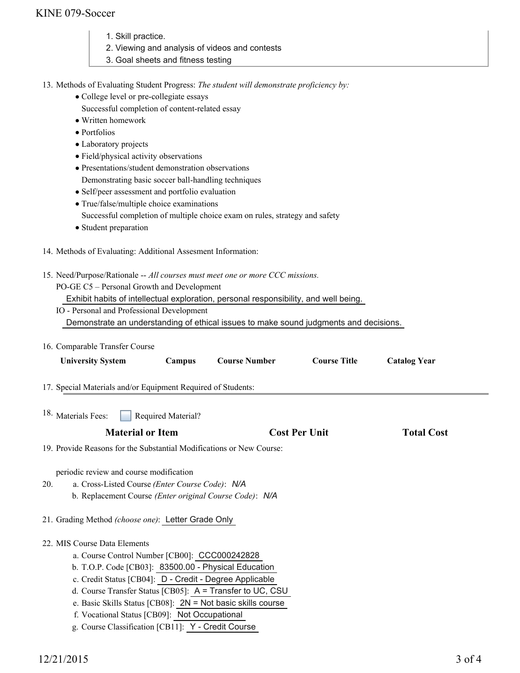# KINE 079-Soccer

- 1. Skill practice.
- 2. Viewing and analysis of videos and contests
- 3. Goal sheets and fitness testing

13. Methods of Evaluating Student Progress: The student will demonstrate proficiency by:

- College level or pre-collegiate essays
- Successful completion of content-related essay
- Written homework
- Portfolios
- Laboratory projects
- Field/physical activity observations
- Presentations/student demonstration observations
- Demonstrating basic soccer ball-handling techniques
- Self/peer assessment and portfolio evaluation
- True/false/multiple choice examinations
- Successful completion of multiple choice exam on rules, strategy and safety
- Student preparation
- 14. Methods of Evaluating: Additional Assesment Information:
- 15. Need/Purpose/Rationale -- All courses must meet one or more CCC missions.

PO-GE C5 – Personal Growth and Development

Exhibit habits of intellectual exploration, personal responsibility, and well being.

- IO Personal and Professional Development Demonstrate an understanding of ethical issues to make sound judgments and decisions.
- 16. Comparable Transfer Course

| <b>University System</b>                                                                                                                                                                                                                                                                                                                                                 | Campus             | <b>Course Number</b>                                      | <b>Course Title</b>  | <b>Catalog Year</b> |  |
|--------------------------------------------------------------------------------------------------------------------------------------------------------------------------------------------------------------------------------------------------------------------------------------------------------------------------------------------------------------------------|--------------------|-----------------------------------------------------------|----------------------|---------------------|--|
| 17. Special Materials and/or Equipment Required of Students:                                                                                                                                                                                                                                                                                                             |                    |                                                           |                      |                     |  |
| <sup>18.</sup> Materials Fees:                                                                                                                                                                                                                                                                                                                                           | Required Material? |                                                           |                      |                     |  |
| <b>Material or Item</b>                                                                                                                                                                                                                                                                                                                                                  |                    |                                                           | <b>Cost Per Unit</b> | <b>Total Cost</b>   |  |
| 19. Provide Reasons for the Substantial Modifications or New Course:                                                                                                                                                                                                                                                                                                     |                    |                                                           |                      |                     |  |
| periodic review and course modification<br>a. Cross-Listed Course (Enter Course Code): N/A<br>20.<br>b. Replacement Course (Enter original Course Code): N/A                                                                                                                                                                                                             |                    |                                                           |                      |                     |  |
| 21. Grading Method (choose one): Letter Grade Only                                                                                                                                                                                                                                                                                                                       |                    |                                                           |                      |                     |  |
| 22. MIS Course Data Elements<br>a. Course Control Number [CB00]: CCC000242828<br>b. T.O.P. Code [CB03]: 83500.00 - Physical Education<br>c. Credit Status [CB04]: D - Credit - Degree Applicable<br>e. Basic Skills Status [CB08]: $2N = Not basic skills course$<br>f. Vocational Status [CB09]: Not Occupational<br>g. Course Classification [CB11]: Y - Credit Course |                    | d. Course Transfer Status [CB05]: A = Transfer to UC, CSU |                      |                     |  |